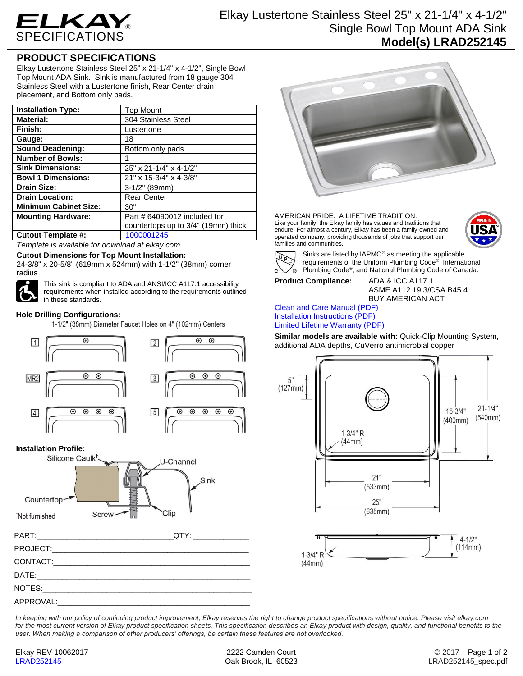

# Elkay Lustertone Stainless Steel 25" x 21-1/4" x 4-1/2" Single Bowl Top Mount ADA Sink **Model(s) LRAD252145**

## **PRODUCT SPECIFICATIONS**

Elkay Lustertone Stainless Steel 25" x 21-1/4" x 4-1/2", Single Bowl Top Mount ADA Sink. Sink is manufactured from 18 gauge 304 Stainless Steel with a Lustertone finish, Rear Center drain placement, and Bottom only pads.

| <b>Installation Type:</b>    | <b>Top Mount</b>                    |
|------------------------------|-------------------------------------|
| <b>Material:</b>             | 304 Stainless Steel                 |
| Finish:                      | Lustertone                          |
| Gauge:                       | 18                                  |
| <b>Sound Deadening:</b>      | Bottom only pads                    |
| <b>Number of Bowls:</b>      |                                     |
| <b>Sink Dimensions:</b>      | 25" x 21-1/4" x 4-1/2"              |
| <b>Bowl 1 Dimensions:</b>    | 21" x 15-3/4" x 4-3/8"              |
| <b>Drain Size:</b>           | 3-1/2" (89mm)                       |
| <b>Drain Location:</b>       | <b>Rear Center</b>                  |
| <b>Minimum Cabinet Size:</b> | 30"                                 |
| <b>Mounting Hardware:</b>    | Part # 64090012 included for        |
|                              | countertops up to 3/4" (19mm) thick |
| <b>Cutout Template #:</b>    | 1000001245                          |

*Template is available for download at elkay.com*

#### **Cutout Dimensions for Top Mount Installation:**

24-3/8" x 20-5/8" (619mm x 524mm) with 1-1/2" (38mm) corner radius



This sink is compliant to ADA and ANSI/ICC A117.1 accessibility requirements when installed according to the requirements outlined in these standards.

#### **Hole Drilling Configurations:**

1-1/2" (38mm) Diameter Faucet Holes on 4" (102mm) Centers



#### **Installation Profile:**







AMERICAN PRIDE. A LIFETIME TRADITION. Like your family, the Elkay family has values and traditions that endure. For almost a century, Elkay has been a family-owned and operated company, providing thousands of jobs that support our families and communities.





Sinks are listed by IAPMO® as meeting the applicable requirements of the Uniform Plumbing Code® , International Plumbing Code® , and National Plumbing Code of Canada.

**Product Compliance:** ADA & ICC A117.1

 $(44mm)$ 

ASME A112.19.3/CSA B45.4 BUY AMERICAN ACT

#### [Clean and Care Manual \(PDF\)](http://www.elkay.com/wcsstore/lkdocs/care-cleaning-install-warranty-sheets/residential%20and%20commercial%20care%20%20cleaning.pdf) [Installation Instructions \(PDF\)](http://www.elkay.com/wcsstore/lkdocs/care-cleaning-install-warranty-sheets/74180147.pdf) [Limited Lifetime Warranty](http://www.elkay.com/wcsstore/lkdocs/care-cleaning-install-warranty-sheets/residential%20sinks%20warranty.pdf) (PDF)

**Similar models are available with:** Quick-Clip Mounting System, additional ADA depths, CuVerro antimicrobial copper



*In keeping with our policy of continuing product improvement, Elkay reserves the right to change product specifications without notice. Please visit elkay.com*  for the most current version of Elkay product specification sheets. This specification describes an Elkay product with design, quality, and functional benefits to the *user. When making a comparison of other producers' offerings, be certain these features are not overlooked.*